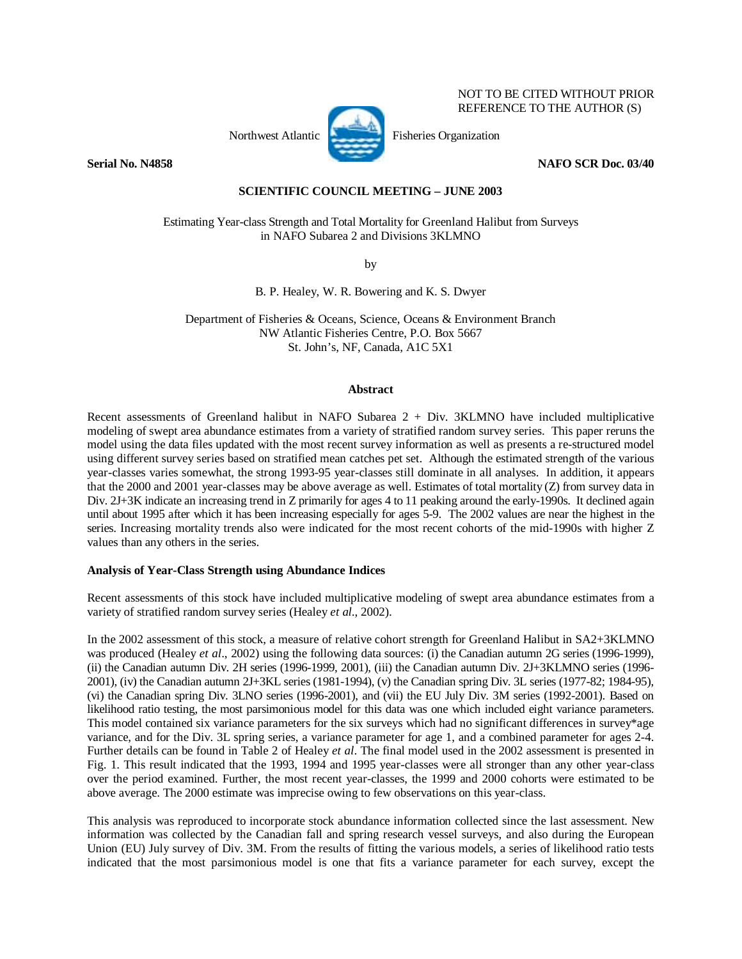

NOT TO BE CITED WITHOUT PRIOR REFERENCE TO THE AUTHOR (S)

**Serial No. N4858** NAFO SCR Doc. 03/40

## **SCIENTIFIC COUNCIL MEETING – JUNE 2003**

Estimating Year-class Strength and Total Mortality for Greenland Halibut from Surveys in NAFO Subarea 2 and Divisions 3KLMNO

by

B. P. Healey, W. R. Bowering and K. S. Dwyer

Department of Fisheries & Oceans, Science, Oceans & Environment Branch NW Atlantic Fisheries Centre, P.O. Box 5667 St. John's, NF, Canada, A1C 5X1

### **Abstract**

Recent assessments of Greenland halibut in NAFO Subarea 2 + Div. 3KLMNO have included multiplicative modeling of swept area abundance estimates from a variety of stratified random survey series. This paper reruns the model using the data files updated with the most recent survey information as well as presents a re-structured model using different survey series based on stratified mean catches pet set. Although the estimated strength of the various year-classes varies somewhat, the strong 1993-95 year-classes still dominate in all analyses. In addition, it appears that the 2000 and 2001 year-classes may be above average as well. Estimates of total mortality (Z) from survey data in Div. 2J+3K indicate an increasing trend in Z primarily for ages 4 to 11 peaking around the early-1990s. It declined again until about 1995 after which it has been increasing especially for ages 5-9. The 2002 values are near the highest in the series. Increasing mortality trends also were indicated for the most recent cohorts of the mid-1990s with higher Z values than any others in the series.

### **Analysis of Year-Class Strength using Abundance Indices**

Recent assessments of this stock have included multiplicative modeling of swept area abundance estimates from a variety of stratified random survey series (Healey *et al*., 2002).

In the 2002 assessment of this stock, a measure of relative cohort strength for Greenland Halibut in SA2+3KLMNO was produced (Healey *et al.*, 2002) using the following data sources: (i) the Canadian autumn 2G series (1996-1999), (ii) the Canadian autumn Div. 2H series (1996-1999, 2001), (iii) the Canadian autumn Div. 2J+3KLMNO series (1996- 2001), (iv) the Canadian autumn 2J+3KL series (1981-1994), (v) the Canadian spring Div. 3L series (1977-82; 1984-95), (vi) the Canadian spring Div. 3LNO series (1996-2001), and (vii) the EU July Div. 3M series (1992-2001). Based on likelihood ratio testing, the most parsimonious model for this data was one which included eight variance parameters. This model contained six variance parameters for the six surveys which had no significant differences in survey\*age variance, and for the Div. 3L spring series, a variance parameter for age 1, and a combined parameter for ages 2-4. Further details can be found in Table 2 of Healey *et al*. The final model used in the 2002 assessment is presented in Fig. 1. This result indicated that the 1993, 1994 and 1995 year-classes were all stronger than any other year-class over the period examined. Further, the most recent year-classes, the 1999 and 2000 cohorts were estimated to be above average. The 2000 estimate was imprecise owing to few observations on this year-class.

This analysis was reproduced to incorporate stock abundance information collected since the last assessment. New information was collected by the Canadian fall and spring research vessel surveys, and also during the European Union (EU) July survey of Div. 3M. From the results of fitting the various models, a series of likelihood ratio tests indicated that the most parsimonious model is one that fits a variance parameter for each survey, except the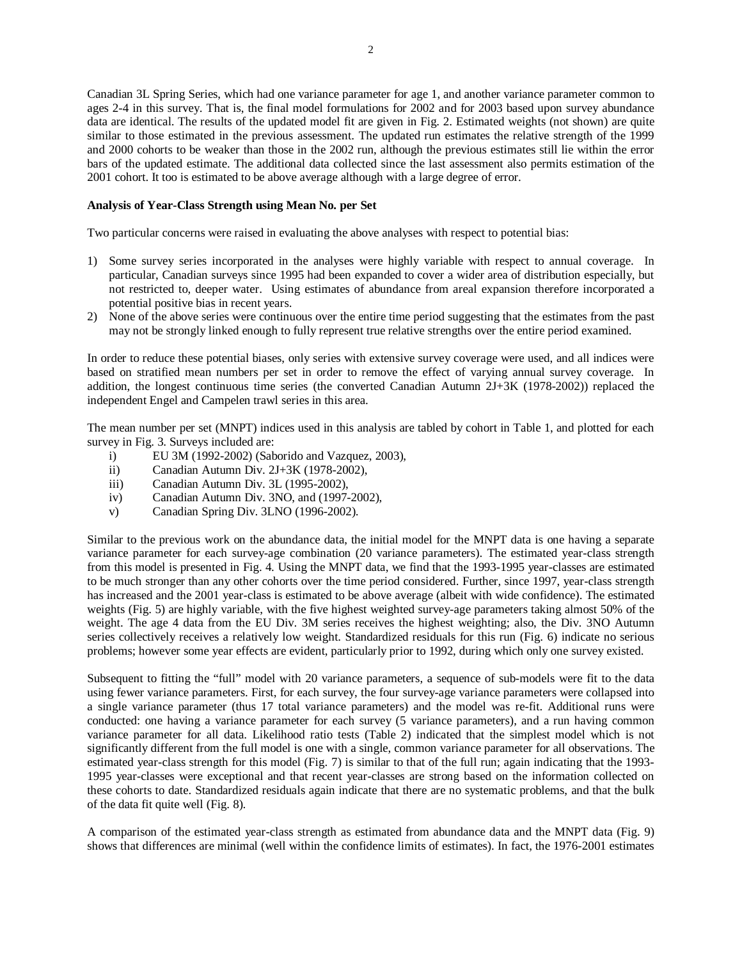Canadian 3L Spring Series, which had one variance parameter for age 1, and another variance parameter common to ages 2-4 in this survey. That is, the final model formulations for 2002 and for 2003 based upon survey abundance data are identical. The results of the updated model fit are given in Fig. 2. Estimated weights (not shown) are quite similar to those estimated in the previous assessment. The updated run estimates the relative strength of the 1999 and 2000 cohorts to be weaker than those in the 2002 run, although the previous estimates still lie within the error bars of the updated estimate. The additional data collected since the last assessment also permits estimation of the 2001 cohort. It too is estimated to be above average although with a large degree of error.

## **Analysis of Year-Class Strength using Mean No. per Set**

Two particular concerns were raised in evaluating the above analyses with respect to potential bias:

- 1) Some survey series incorporated in the analyses were highly variable with respect to annual coverage. In particular, Canadian surveys since 1995 had been expanded to cover a wider area of distribution especially, but not restricted to, deeper water. Using estimates of abundance from areal expansion therefore incorporated a potential positive bias in recent years.
- 2) None of the above series were continuous over the entire time period suggesting that the estimates from the past may not be strongly linked enough to fully represent true relative strengths over the entire period examined.

In order to reduce these potential biases, only series with extensive survey coverage were used, and all indices were based on stratified mean numbers per set in order to remove the effect of varying annual survey coverage. In addition, the longest continuous time series (the converted Canadian Autumn 2J+3K (1978-2002)) replaced the independent Engel and Campelen trawl series in this area.

The mean number per set (MNPT) indices used in this analysis are tabled by cohort in Table 1, and plotted for each survey in Fig. 3. Surveys included are:

- i) EU 3M (1992-2002) (Saborido and Vazquez, 2003),
- ii) Canadian Autumn Div. 2J+3K (1978-2002),
- iii) Canadian Autumn Div. 3L (1995-2002),
- iv) Canadian Autumn Div. 3NO, and (1997-2002),
- v) Canadian Spring Div. 3LNO (1996-2002).

Similar to the previous work on the abundance data, the initial model for the MNPT data is one having a separate variance parameter for each survey-age combination (20 variance parameters). The estimated year-class strength from this model is presented in Fig. 4. Using the MNPT data, we find that the 1993-1995 year-classes are estimated to be much stronger than any other cohorts over the time period considered. Further, since 1997, year-class strength has increased and the 2001 year-class is estimated to be above average (albeit with wide confidence). The estimated weights (Fig. 5) are highly variable, with the five highest weighted survey-age parameters taking almost 50% of the weight. The age 4 data from the EU Div. 3M series receives the highest weighting; also, the Div. 3NO Autumn series collectively receives a relatively low weight. Standardized residuals for this run (Fig. 6) indicate no serious problems; however some year effects are evident, particularly prior to 1992, during which only one survey existed.

Subsequent to fitting the "full" model with 20 variance parameters, a sequence of sub-models were fit to the data using fewer variance parameters. First, for each survey, the four survey-age variance parameters were collapsed into a single variance parameter (thus 17 total variance parameters) and the model was re-fit. Additional runs were conducted: one having a variance parameter for each survey (5 variance parameters), and a run having common variance parameter for all data. Likelihood ratio tests (Table 2) indicated that the simplest model which is not significantly different from the full model is one with a single, common variance parameter for all observations. The estimated year-class strength for this model (Fig. 7) is similar to that of the full run; again indicating that the 1993- 1995 year-classes were exceptional and that recent year-classes are strong based on the information collected on these cohorts to date. Standardized residuals again indicate that there are no systematic problems, and that the bulk of the data fit quite well (Fig. 8).

A comparison of the estimated year-class strength as estimated from abundance data and the MNPT data (Fig. 9) shows that differences are minimal (well within the confidence limits of estimates). In fact, the 1976-2001 estimates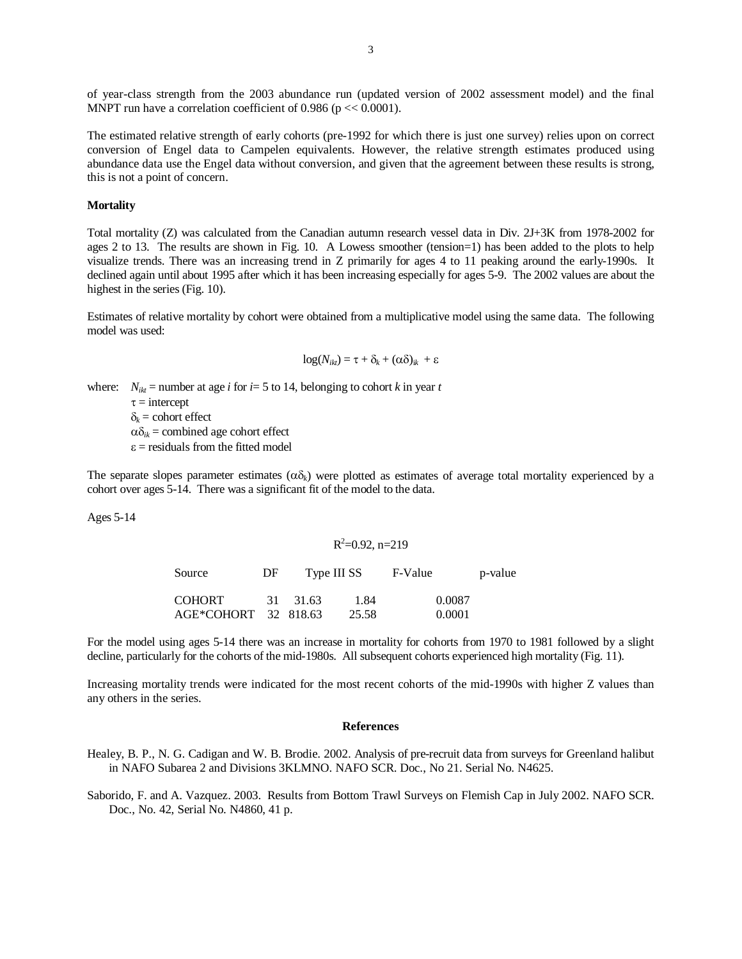of year-class strength from the 2003 abundance run (updated version of 2002 assessment model) and the final MNPT run have a correlation coefficient of  $0.986$  ( $p \ll 0.0001$ ).

The estimated relative strength of early cohorts (pre-1992 for which there is just one survey) relies upon on correct conversion of Engel data to Campelen equivalents. However, the relative strength estimates produced using abundance data use the Engel data without conversion, and given that the agreement between these results is strong, this is not a point of concern.

### **Mortality**

Total mortality (Z) was calculated from the Canadian autumn research vessel data in Div. 2J+3K from 1978-2002 for ages 2 to 13. The results are shown in Fig. 10. A Lowess smoother (tension=1) has been added to the plots to help visualize trends. There was an increasing trend in Z primarily for ages 4 to 11 peaking around the early-1990s. It declined again until about 1995 after which it has been increasing especially for ages 5-9. The 2002 values are about the highest in the series (Fig. 10).

Estimates of relative mortality by cohort were obtained from a multiplicative model using the same data. The following model was used:

$$
log(N_{ikt}) = \tau + \delta_k + (\alpha \delta)_{ik} + \varepsilon
$$

where:  $N_{ik}$  = number at age *i* for *i* = 5 to 14, belonging to cohort *k* in year *t* 

 $\tau$  = intercept  $\delta_k$  = cohort effect  $\alpha \delta_{ik}$  = combined age cohort effect  $\epsilon$  = residuals from the fitted model

The separate slopes parameter estimates  $(\alpha \delta_k)$  were plotted as estimates of average total mortality experienced by a cohort over ages 5-14. There was a significant fit of the model to the data.

Ages 5-14

# $R^2$ =0.92, n=219

| Source               | DF   |         | Type III SS | F-Value | p-value |
|----------------------|------|---------|-------------|---------|---------|
| COHORT               | 31 - | - 31.63 | 1.84        | 0.0087  |         |
| AGE*COHORT 32 818.63 |      |         | 25.58       | 0.0001  |         |

For the model using ages 5-14 there was an increase in mortality for cohorts from 1970 to 1981 followed by a slight decline, particularly for the cohorts of the mid-1980s. All subsequent cohorts experienced high mortality (Fig. 11).

Increasing mortality trends were indicated for the most recent cohorts of the mid-1990s with higher Z values than any others in the series.

## **References**

- Healey, B. P., N. G. Cadigan and W. B. Brodie. 2002. Analysis of pre-recruit data from surveys for Greenland halibut in NAFO Subarea 2 and Divisions 3KLMNO. NAFO SCR. Doc., No 21. Serial No. N4625.
- Saborido, F. and A. Vazquez. 2003. Results from Bottom Trawl Surveys on Flemish Cap in July 2002. NAFO SCR. Doc., No. 42, Serial No. N4860, 41 p.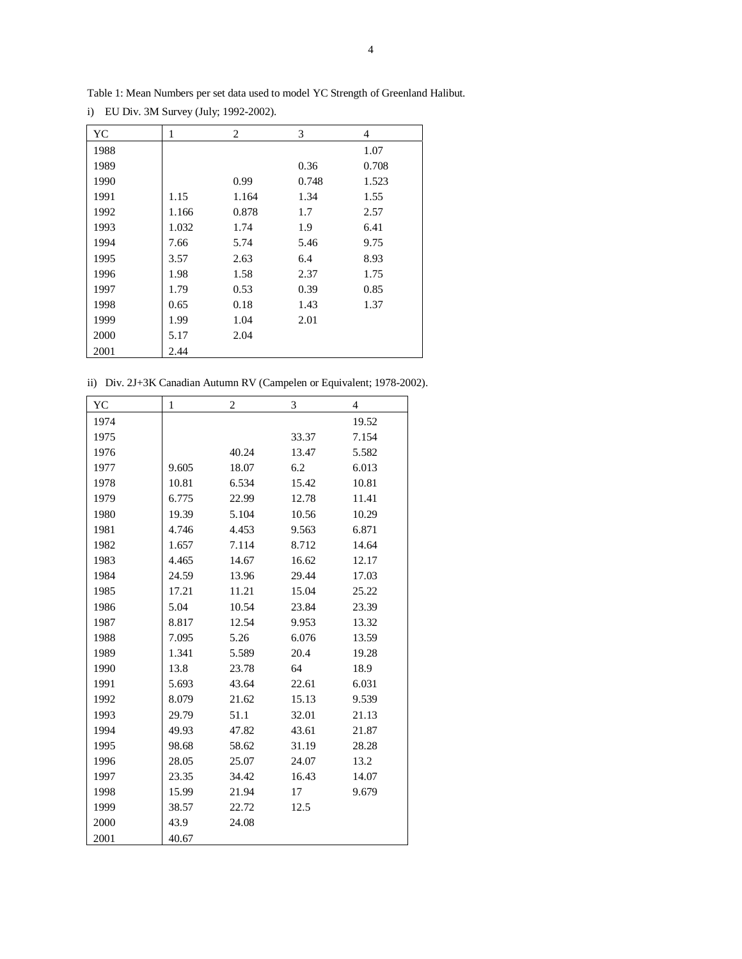| YC   | 1     | $\overline{c}$ | 3     | $\overline{4}$ |
|------|-------|----------------|-------|----------------|
| 1988 |       |                |       | 1.07           |
| 1989 |       |                | 0.36  | 0.708          |
| 1990 |       | 0.99           | 0.748 | 1.523          |
| 1991 | 1.15  | 1.164          | 1.34  | 1.55           |
| 1992 | 1.166 | 0.878          | 1.7   | 2.57           |
| 1993 | 1.032 | 1.74           | 1.9   | 6.41           |
| 1994 | 7.66  | 5.74           | 5.46  | 9.75           |
| 1995 | 3.57  | 2.63           | 6.4   | 8.93           |
| 1996 | 1.98  | 1.58           | 2.37  | 1.75           |
| 1997 | 1.79  | 0.53           | 0.39  | 0.85           |
| 1998 | 0.65  | 0.18           | 1.43  | 1.37           |
| 1999 | 1.99  | 1.04           | 2.01  |                |
| 2000 | 5.17  | 2.04           |       |                |
| 2001 | 2.44  |                |       |                |

Table 1: Mean Numbers per set data used to model YC Strength of Greenland Halibut. i) EU Div. 3M Survey (July; 1992-2002).

ii) Div. 2J+3K Canadian Autumn RV (Campelen or Equivalent; 1978-2002).

| YC   | $\mathbf{1}$ | $\overline{c}$ | 3     | $\overline{4}$ |
|------|--------------|----------------|-------|----------------|
| 1974 |              |                |       | 19.52          |
| 1975 |              |                | 33.37 | 7.154          |
| 1976 |              | 40.24          | 13.47 | 5.582          |
| 1977 | 9.605        | 18.07          | 6.2   | 6.013          |
| 1978 | 10.81        | 6.534          | 15.42 | 10.81          |
| 1979 | 6.775        | 22.99          | 12.78 | 11.41          |
| 1980 | 19.39        | 5.104          | 10.56 | 10.29          |
| 1981 | 4.746        | 4.453          | 9.563 | 6.871          |
| 1982 | 1.657        | 7.114          | 8.712 | 14.64          |
| 1983 | 4.465        | 14.67          | 16.62 | 12.17          |
| 1984 | 24.59        | 13.96          | 29.44 | 17.03          |
| 1985 | 17.21        | 11.21          | 15.04 | 25.22          |
| 1986 | 5.04         | 10.54          | 23.84 | 23.39          |
| 1987 | 8.817        | 12.54          | 9.953 | 13.32          |
| 1988 | 7.095        | 5.26           | 6.076 | 13.59          |
| 1989 | 1.341        | 5.589          | 20.4  | 19.28          |
| 1990 | 13.8         | 23.78          | 64    | 18.9           |
| 1991 | 5.693        | 43.64          | 22.61 | 6.031          |
| 1992 | 8.079        | 21.62          | 15.13 | 9.539          |
| 1993 | 29.79        | 51.1           | 32.01 | 21.13          |
| 1994 | 49.93        | 47.82          | 43.61 | 21.87          |
| 1995 | 98.68        | 58.62          | 31.19 | 28.28          |
| 1996 | 28.05        | 25.07          | 24.07 | 13.2           |
| 1997 | 23.35        | 34.42          | 16.43 | 14.07          |
| 1998 | 15.99        | 21.94          | 17    | 9.679          |
| 1999 | 38.57        | 22.72          | 12.5  |                |
| 2000 | 43.9         | 24.08          |       |                |
| 2001 | 40.67        |                |       |                |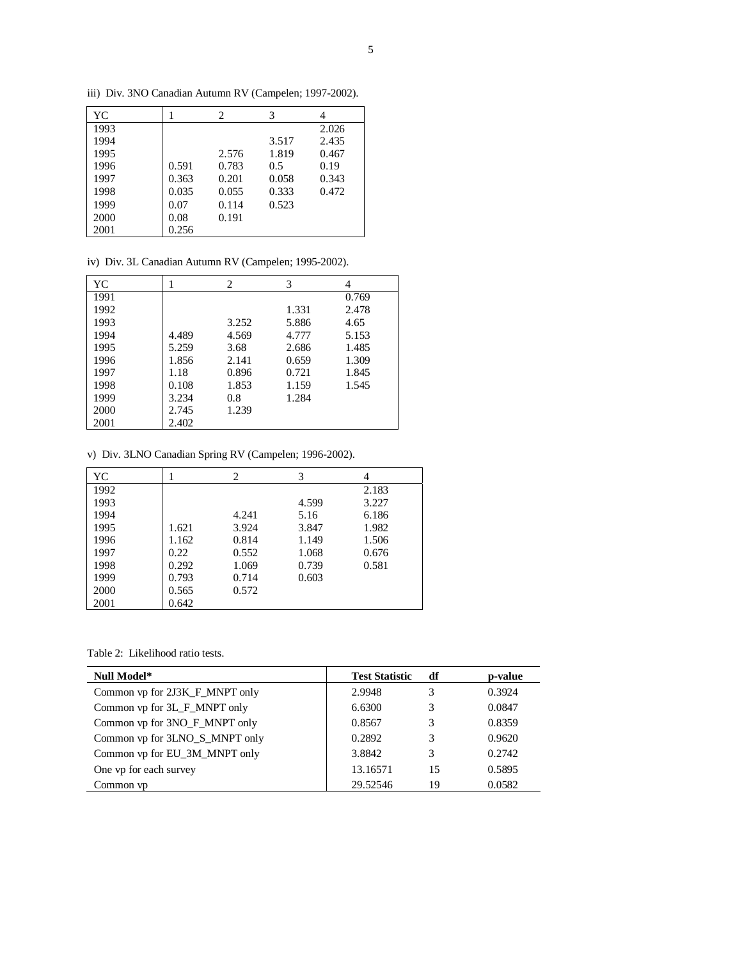iii) Div. 3NO Canadian Autumn RV (Campelen; 1997-2002).

| YC   |       | 2     | 3     |       |
|------|-------|-------|-------|-------|
| 1993 |       |       |       | 2.026 |
| 1994 |       |       | 3.517 | 2.435 |
| 1995 |       | 2.576 | 1.819 | 0.467 |
| 1996 | 0.591 | 0.783 | 0.5   | 0.19  |
| 1997 | 0.363 | 0.201 | 0.058 | 0.343 |
| 1998 | 0.035 | 0.055 | 0.333 | 0.472 |
| 1999 | 0.07  | 0.114 | 0.523 |       |
| 2000 | 0.08  | 0.191 |       |       |
| 2001 | 0.256 |       |       |       |

iv) Div. 3L Canadian Autumn RV (Campelen; 1995-2002).

| YС   |       | 2     | 3     | 4     |
|------|-------|-------|-------|-------|
| 1991 |       |       |       | 0.769 |
| 1992 |       |       | 1.331 | 2.478 |
| 1993 |       | 3.252 | 5.886 | 4.65  |
| 1994 | 4.489 | 4.569 | 4.777 | 5.153 |
| 1995 | 5.259 | 3.68  | 2.686 | 1.485 |
| 1996 | 1.856 | 2.141 | 0.659 | 1.309 |
| 1997 | 1.18  | 0.896 | 0.721 | 1.845 |
| 1998 | 0.108 | 1.853 | 1.159 | 1.545 |
| 1999 | 3.234 | 0.8   | 1.284 |       |
| 2000 | 2.745 | 1.239 |       |       |
| 2001 | 2.402 |       |       |       |

v) Div. 3LNO Canadian Spring RV (Campelen; 1996-2002).

| YC   |       | 2     | 3     | 4     |
|------|-------|-------|-------|-------|
| 1992 |       |       |       | 2.183 |
| 1993 |       |       | 4.599 | 3.227 |
| 1994 |       | 4.241 | 5.16  | 6.186 |
| 1995 | 1.621 | 3.924 | 3.847 | 1.982 |
| 1996 | 1.162 | 0.814 | 1.149 | 1.506 |
| 1997 | 0.22  | 0.552 | 1.068 | 0.676 |
| 1998 | 0.292 | 1.069 | 0.739 | 0.581 |
| 1999 | 0.793 | 0.714 | 0.603 |       |
| 2000 | 0.565 | 0.572 |       |       |
| 2001 | 0.642 |       |       |       |

Table 2: Likelihood ratio tests.

| Null Model*                    | <b>Test Statistic</b> | df | p-value |
|--------------------------------|-----------------------|----|---------|
| Common vp for 2J3K_F_MNPT only | 2.9948                | 3  | 0.3924  |
| Common vp for 3L_F_MNPT only   | 6.6300                |    | 0.0847  |
| Common vp for 3NO_F_MNPT only  | 0.8567                | 3  | 0.8359  |
| Common vp for 3LNO_S_MNPT only | 0.2892                | 3  | 0.9620  |
| Common vp for EU_3M_MNPT only  | 3.8842                | 3  | 0.2742  |
| One vp for each survey         | 13.16571              | 15 | 0.5895  |
| Common vp                      | 29.52546              | 19 | 0.0582  |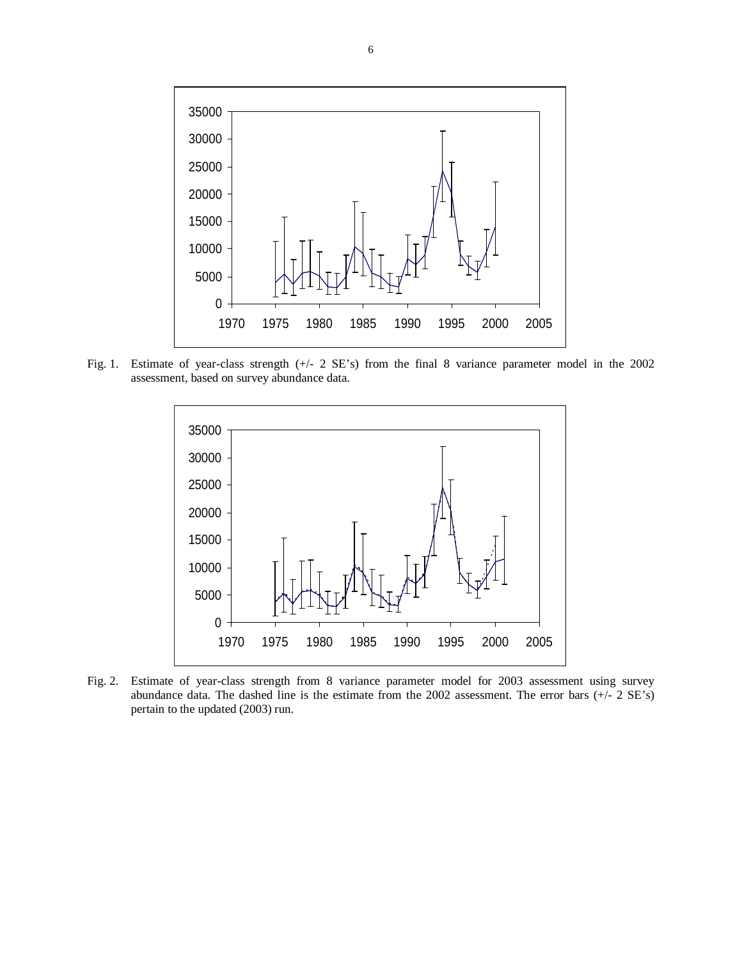

Fig. 1. Estimate of year-class strength (+/- 2 SE's) from the final 8 variance parameter model in the 2002 assessment, based on survey abundance data.



Fig. 2. Estimate of year-class strength from 8 variance parameter model for 2003 assessment using survey abundance data. The dashed line is the estimate from the 2002 assessment. The error bars (+/- 2 SE's) pertain to the updated (2003) run.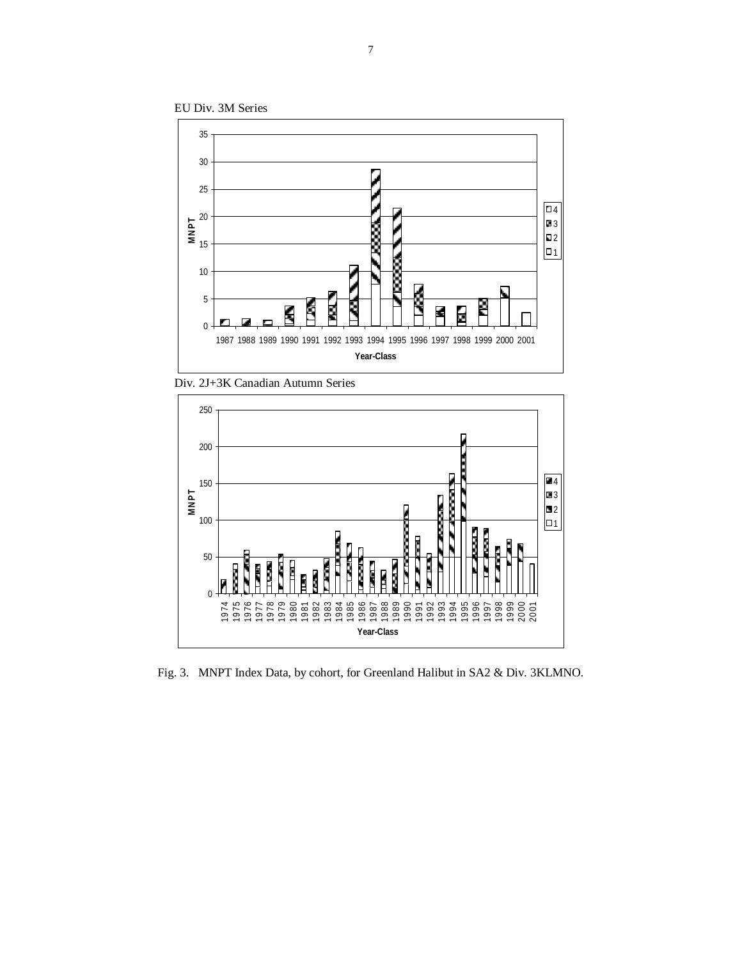



Div. 2J+3K Canadian Autumn Series



Fig. 3. MNPT Index Data, by cohort, for Greenland Halibut in SA2 & Div. 3KLMNO.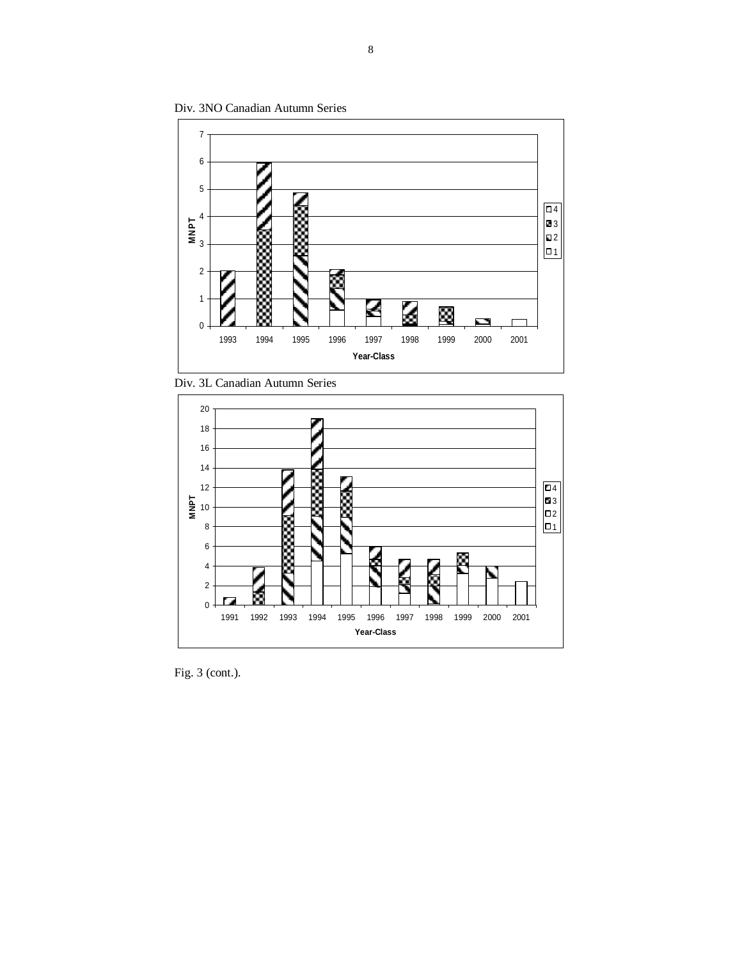

Div. 3NO Canadian Autumn Series

Div. 3L Canadian Autumn Series



Fig. 3 (cont.).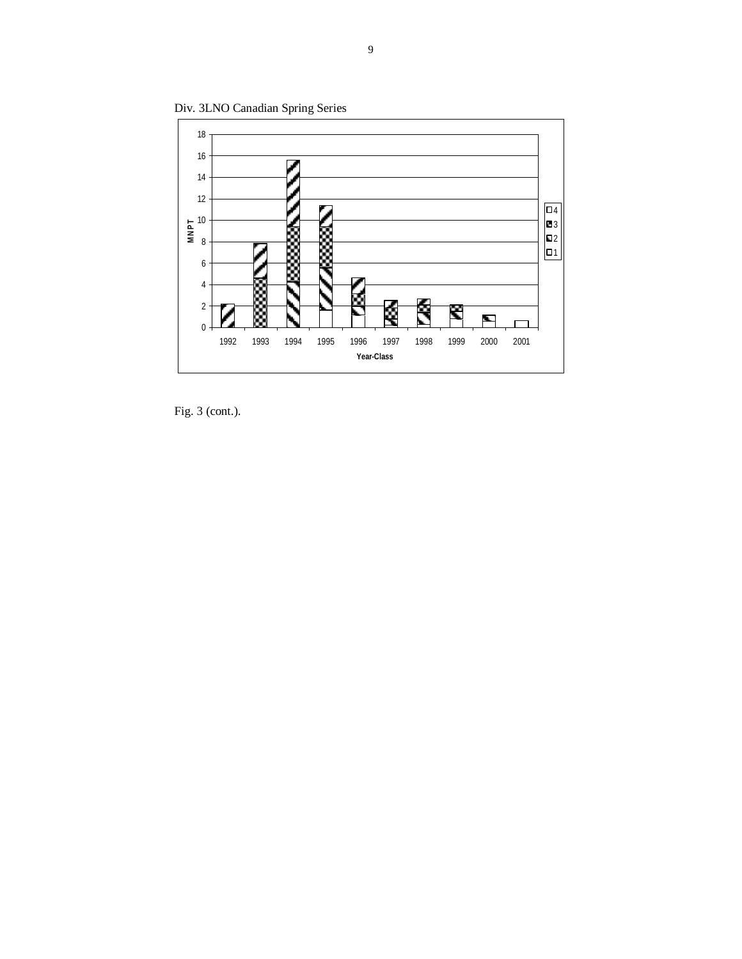

Div. 3LNO Canadian Spring Series

Fig. 3 (cont.).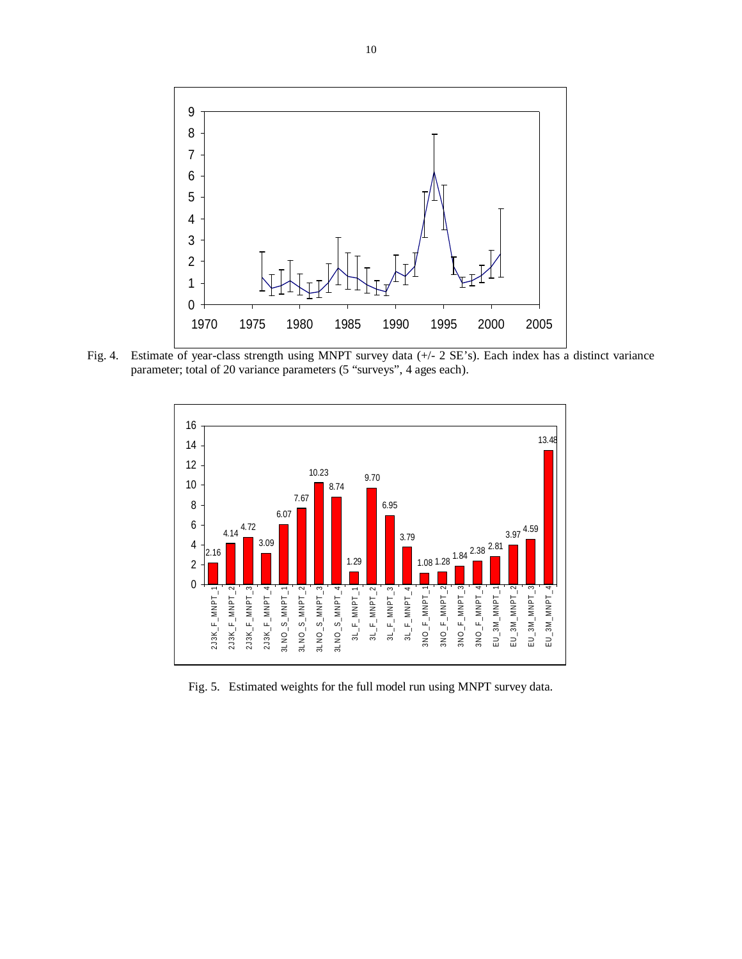

Fig. 4. Estimate of year-class strength using MNPT survey data (+/- 2 SE's). Each index has a distinct variance parameter; total of 20 variance parameters (5 "surveys", 4 ages each).



Fig. 5. Estimated weights for the full model run using MNPT survey data.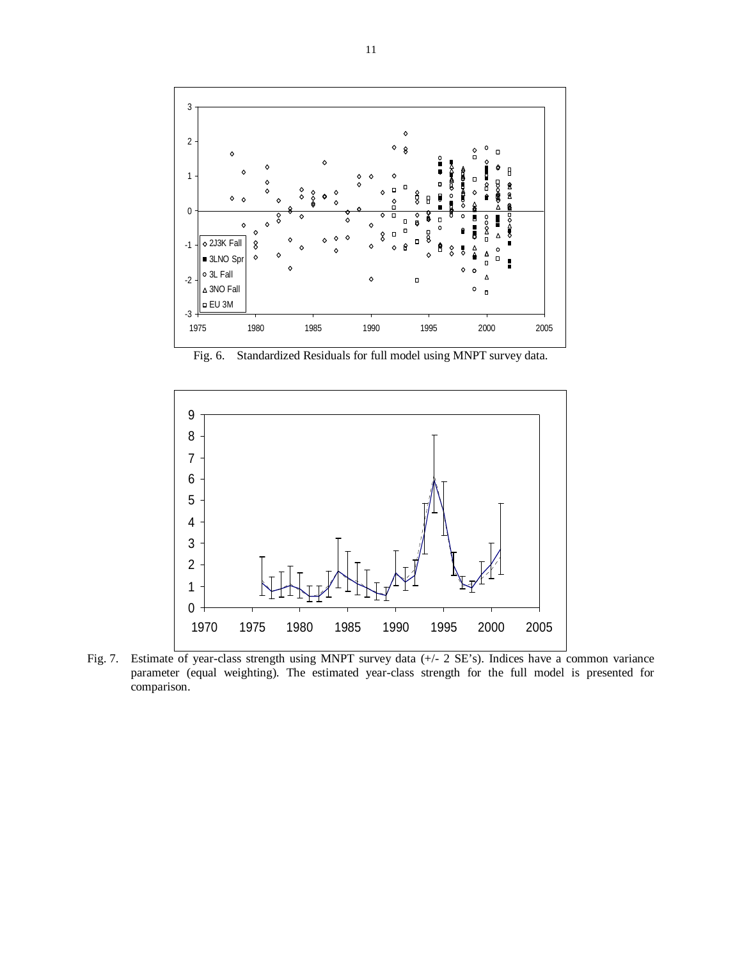

Fig. 6. Standardized Residuals for full model using MNPT survey data.



Fig. 7. Estimate of year-class strength using MNPT survey data (+/- 2 SE's). Indices have a common variance parameter (equal weighting). The estimated year-class strength for the full model is presented for comparison.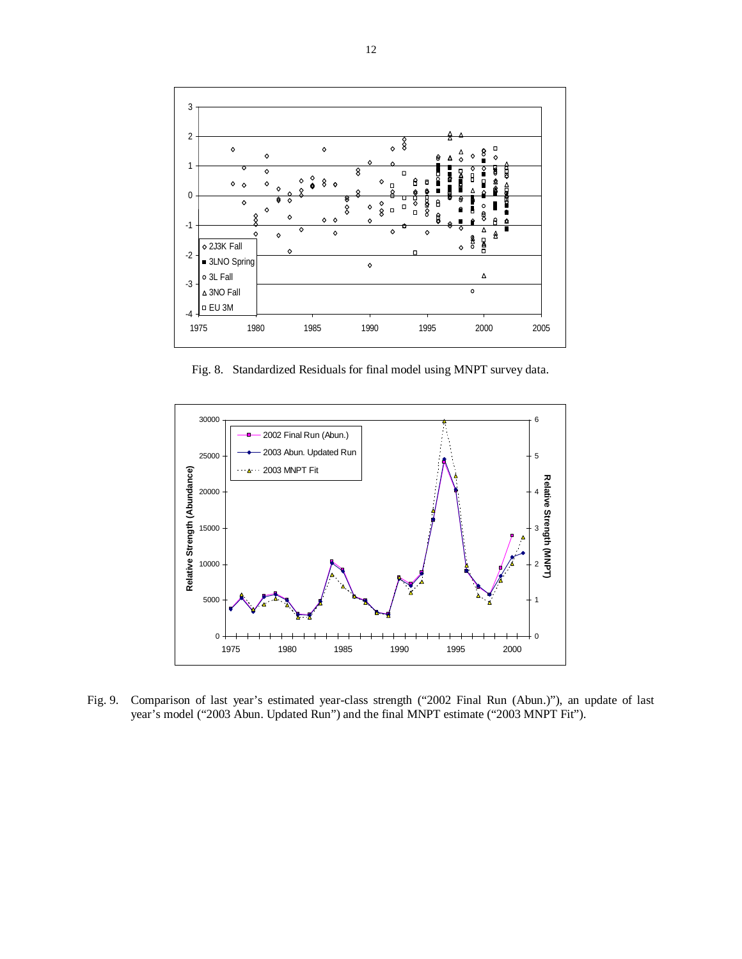

Fig. 8. Standardized Residuals for final model using MNPT survey data.



Fig. 9. Comparison of last year's estimated year-class strength ("2002 Final Run (Abun.)"), an update of last year's model ("2003 Abun. Updated Run") and the final MNPT estimate ("2003 MNPT Fit").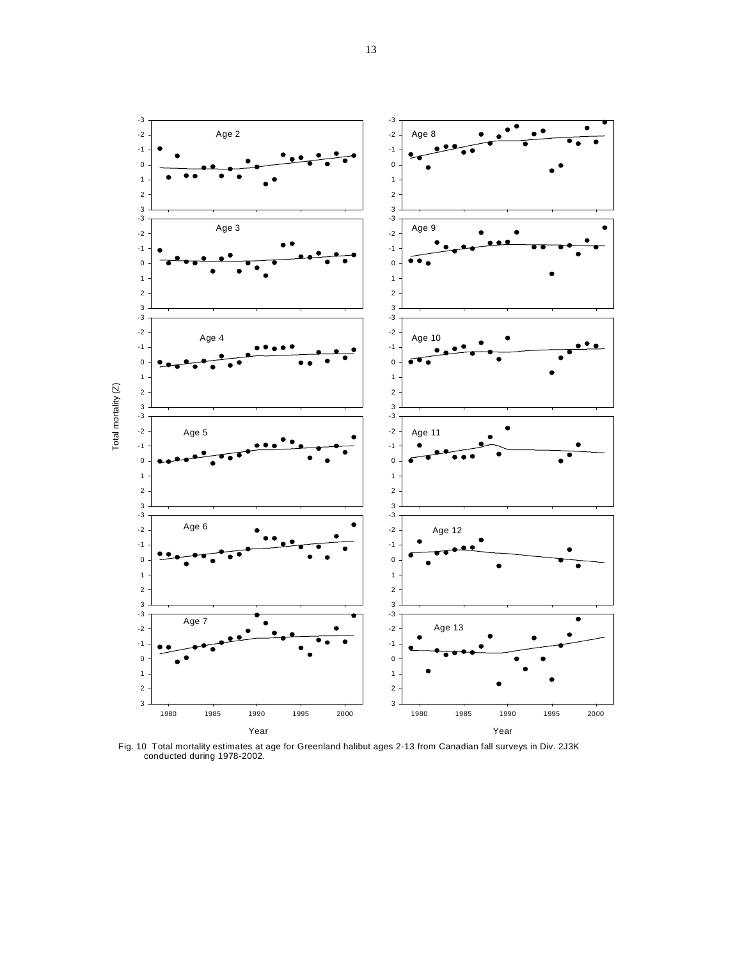

Fig. 10 Total mortality estimates at age for Greenland halibut ages 2-13 from Canadian fall surveys in Div. 2J3K conducted during 1978-2002.